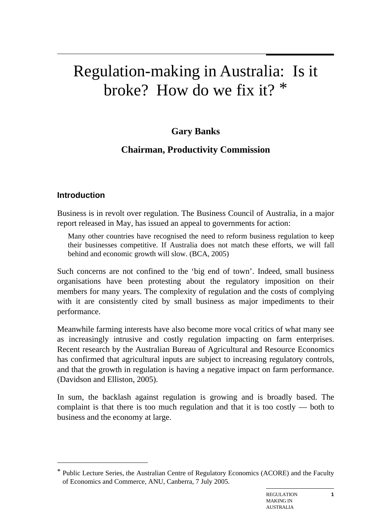# Regulation-making in Australia: Is it broke? How do we fix it?  $*$

# **Gary Banks**

# **Chairman, Productivity Commission**

#### **Introduction**

 $\overline{a}$ 

Business is in revolt over regulation. The Business Council of Australia, in a major report released in May, has issued an appeal to governments for action:

Many other countries have recognised the need to reform business regulation to keep their businesses competitive. If Australia does not match these efforts, we will fall behind and economic growth will slow. (BCA, 2005)

Such concerns are not confined to the 'big end of town'. Indeed, small business organisations have been protesting about the regulatory imposition on their members for many years. The complexity of regulation and the costs of complying with it are consistently cited by small business as major impediments to their performance.

Meanwhile farming interests have also become more vocal critics of what many see as increasingly intrusive and costly regulation impacting on farm enterprises. Recent research by the Australian Bureau of Agricultural and Resource Economics has confirmed that agricultural inputs are subject to increasing regulatory controls, and that the growth in regulation is having a negative impact on farm performance. (Davidson and Elliston, 2005).

In sum, the backlash against regulation is growing and is broadly based. The complaint is that there is too much regulation and that it is too costly — both to business and the economy at large.

Public Lecture Series, the Australian Centre of Regulatory Economics (ACORE) and the Faculty of Economics and Commerce, ANU, Canberra, 7 July 2005.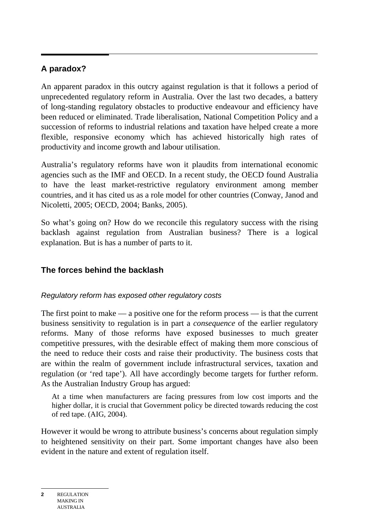## **A paradox?**

An apparent paradox in this outcry against regulation is that it follows a period of unprecedented regulatory reform in Australia. Over the last two decades, a battery of long-standing regulatory obstacles to productive endeavour and efficiency have been reduced or eliminated. Trade liberalisation, National Competition Policy and a succession of reforms to industrial relations and taxation have helped create a more flexible, responsive economy which has achieved historically high rates of productivity and income growth and labour utilisation.

Australia's regulatory reforms have won it plaudits from international economic agencies such as the IMF and OECD. In a recent study, the OECD found Australia to have the least market-restrictive regulatory environment among member countries, and it has cited us as a role model for other countries (Conway, Janod and Nicoletti, 2005; OECD, 2004; Banks, 2005).

So what's going on? How do we reconcile this regulatory success with the rising backlash against regulation from Australian business? There is a logical explanation. But is has a number of parts to it.

#### **The forces behind the backlash**

#### *Regulatory reform has exposed other regulatory costs*

The first point to make — a positive one for the reform process — is that the current business sensitivity to regulation is in part a *consequence* of the earlier regulatory reforms. Many of those reforms have exposed businesses to much greater competitive pressures, with the desirable effect of making them more conscious of the need to reduce their costs and raise their productivity. The business costs that are within the realm of government include infrastructural services, taxation and regulation (or 'red tape'). All have accordingly become targets for further reform. As the Australian Industry Group has argued:

At a time when manufacturers are facing pressures from low cost imports and the higher dollar, it is crucial that Government policy be directed towards reducing the cost of red tape. (AIG, 2004).

However it would be wrong to attribute business's concerns about regulation simply to heightened sensitivity on their part. Some important changes have also been evident in the nature and extent of regulation itself.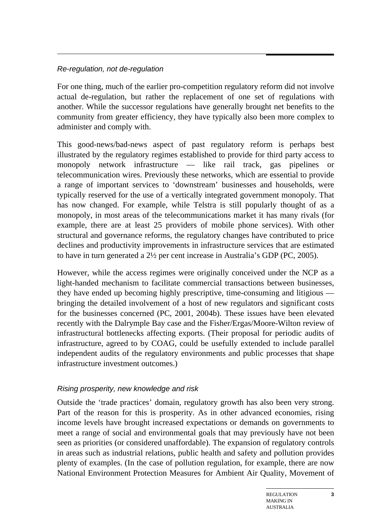#### *Re-regulation, not de-regulation*

For one thing, much of the earlier pro-competition regulatory reform did not involve actual de-regulation, but rather the replacement of one set of regulations with another. While the successor regulations have generally brought net benefits to the community from greater efficiency, they have typically also been more complex to administer and comply with.

This good-news/bad-news aspect of past regulatory reform is perhaps best illustrated by the regulatory regimes established to provide for third party access to monopoly network infrastructure — like rail track, gas pipelines or telecommunication wires. Previously these networks, which are essential to provide a range of important services to 'downstream' businesses and households, were typically reserved for the use of a vertically integrated government monopoly. That has now changed. For example, while Telstra is still popularly thought of as a monopoly, in most areas of the telecommunications market it has many rivals (for example, there are at least 25 providers of mobile phone services). With other structural and governance reforms, the regulatory changes have contributed to price declines and productivity improvements in infrastructure services that are estimated to have in turn generated a 2½ per cent increase in Australia's GDP (PC, 2005).

However, while the access regimes were originally conceived under the NCP as a light-handed mechanism to facilitate commercial transactions between businesses, they have ended up becoming highly prescriptive, time-consuming and litigious bringing the detailed involvement of a host of new regulators and significant costs for the businesses concerned (PC, 2001, 2004b). These issues have been elevated recently with the Dalrymple Bay case and the Fisher/Ergas/Moore-Wilton review of infrastructural bottlenecks affecting exports. (Their proposal for periodic audits of infrastructure, agreed to by COAG, could be usefully extended to include parallel independent audits of the regulatory environments and public processes that shape infrastructure investment outcomes.)

#### *Rising prosperity, new knowledge and risk*

Outside the 'trade practices' domain, regulatory growth has also been very strong. Part of the reason for this is prosperity. As in other advanced economies, rising income levels have brought increased expectations or demands on governments to meet a range of social and environmental goals that may previously have not been seen as priorities (or considered unaffordable). The expansion of regulatory controls in areas such as industrial relations, public health and safety and pollution provides plenty of examples. (In the case of pollution regulation, for example, there are now National Environment Protection Measures for Ambient Air Quality, Movement of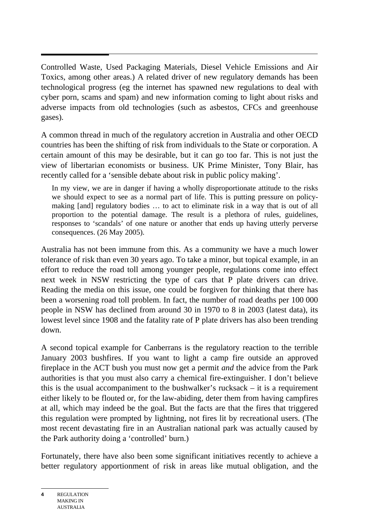$\overline{a}$ Controlled Waste, Used Packaging Materials, Diesel Vehicle Emissions and Air Toxics, among other areas.) A related driver of new regulatory demands has been technological progress (eg the internet has spawned new regulations to deal with cyber porn, scams and spam) and new information coming to light about risks and adverse impacts from old technologies (such as asbestos, CFCs and greenhouse gases).

A common thread in much of the regulatory accretion in Australia and other OECD countries has been the shifting of risk from individuals to the State or corporation. A certain amount of this may be desirable, but it can go too far. This is not just the view of libertarian economists or business. UK Prime Minister, Tony Blair, has recently called for a 'sensible debate about risk in public policy making'.

In my view, we are in danger if having a wholly disproportionate attitude to the risks we should expect to see as a normal part of life. This is putting pressure on policymaking [and] regulatory bodies … to act to eliminate risk in a way that is out of all proportion to the potential damage. The result is a plethora of rules, guidelines, responses to 'scandals' of one nature or another that ends up having utterly perverse consequences. (26 May 2005).

Australia has not been immune from this. As a community we have a much lower tolerance of risk than even 30 years ago. To take a minor, but topical example, in an effort to reduce the road toll among younger people, regulations come into effect next week in NSW restricting the type of cars that P plate drivers can drive. Reading the media on this issue, one could be forgiven for thinking that there has been a worsening road toll problem. In fact, the number of road deaths per 100 000 people in NSW has declined from around 30 in 1970 to 8 in 2003 (latest data), its lowest level since 1908 and the fatality rate of P plate drivers has also been trending down.

A second topical example for Canberrans is the regulatory reaction to the terrible January 2003 bushfires. If you want to light a camp fire outside an approved fireplace in the ACT bush you must now get a permit *and* the advice from the Park authorities is that you must also carry a chemical fire-extinguisher. I don't believe this is the usual accompaniment to the bushwalker's rucksack – it is a requirement either likely to be flouted or, for the law-abiding, deter them from having campfires at all, which may indeed be the goal. But the facts are that the fires that triggered this regulation were prompted by lightning, not fires lit by recreational users. (The most recent devastating fire in an Australian national park was actually caused by the Park authority doing a 'controlled' burn.)

Fortunately, there have also been some significant initiatives recently to achieve a better regulatory apportionment of risk in areas like mutual obligation, and the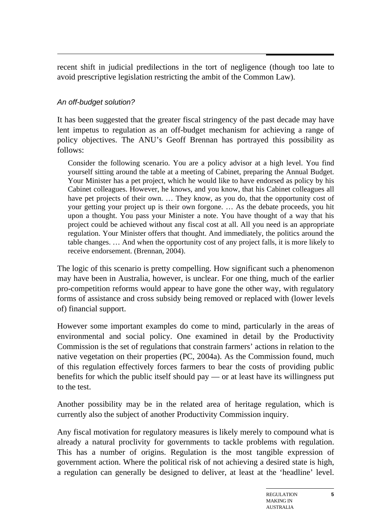recent shift in judicial predilections in the tort of negligence (though too late to avoid prescriptive legislation restricting the ambit of the Common Law).

#### *An off-budget solution?*

It has been suggested that the greater fiscal stringency of the past decade may have lent impetus to regulation as an off-budget mechanism for achieving a range of policy objectives. The ANU's Geoff Brennan has portrayed this possibility as follows:

Consider the following scenario. You are a policy advisor at a high level. You find yourself sitting around the table at a meeting of Cabinet, preparing the Annual Budget. Your Minister has a pet project, which he would like to have endorsed as policy by his Cabinet colleagues. However, he knows, and you know, that his Cabinet colleagues all have pet projects of their own. ... They know, as you do, that the opportunity cost of your getting your project up is their own forgone. … As the debate proceeds, you hit upon a thought. You pass your Minister a note. You have thought of a way that his project could be achieved without any fiscal cost at all. All you need is an appropriate regulation. Your Minister offers that thought. And immediately, the politics around the table changes. … And when the opportunity cost of any project falls, it is more likely to receive endorsement. (Brennan, 2004).

The logic of this scenario is pretty compelling. How significant such a phenomenon may have been in Australia, however, is unclear. For one thing, much of the earlier pro-competition reforms would appear to have gone the other way, with regulatory forms of assistance and cross subsidy being removed or replaced with (lower levels of) financial support.

However some important examples do come to mind, particularly in the areas of environmental and social policy. One examined in detail by the Productivity Commission is the set of regulations that constrain farmers' actions in relation to the native vegetation on their properties (PC, 2004a). As the Commission found, much of this regulation effectively forces farmers to bear the costs of providing public benefits for which the public itself should pay — or at least have its willingness put to the test.

Another possibility may be in the related area of heritage regulation, which is currently also the subject of another Productivity Commission inquiry.

Any fiscal motivation for regulatory measures is likely merely to compound what is already a natural proclivity for governments to tackle problems with regulation. This has a number of origins. Regulation is the most tangible expression of government action. Where the political risk of not achieving a desired state is high, a regulation can generally be designed to deliver, at least at the 'headline' level.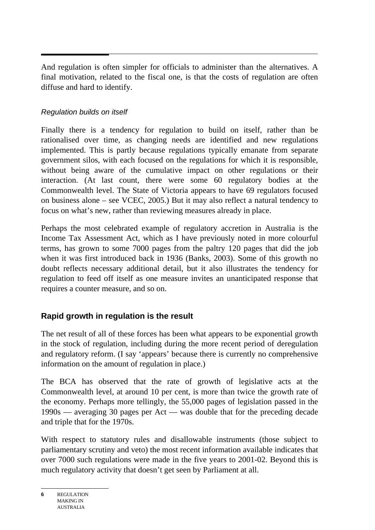And regulation is often simpler for officials to administer than the alternatives. A final motivation, related to the fiscal one, is that the costs of regulation are often diffuse and hard to identify.

#### *Regulation builds on itself*

Finally there is a tendency for regulation to build on itself, rather than be rationalised over time, as changing needs are identified and new regulations implemented. This is partly because regulations typically emanate from separate government silos, with each focused on the regulations for which it is responsible, without being aware of the cumulative impact on other regulations or their interaction. (At last count, there were some 60 regulatory bodies at the Commonwealth level. The State of Victoria appears to have 69 regulators focused on business alone – see VCEC, 2005.) But it may also reflect a natural tendency to focus on what's new, rather than reviewing measures already in place.

Perhaps the most celebrated example of regulatory accretion in Australia is the Income Tax Assessment Act, which as I have previously noted in more colourful terms, has grown to some 7000 pages from the paltry 120 pages that did the job when it was first introduced back in 1936 (Banks, 2003). Some of this growth no doubt reflects necessary additional detail, but it also illustrates the tendency for regulation to feed off itself as one measure invites an unanticipated response that requires a counter measure, and so on.

## **Rapid growth in regulation is the result**

The net result of all of these forces has been what appears to be exponential growth in the stock of regulation, including during the more recent period of deregulation and regulatory reform. (I say 'appears' because there is currently no comprehensive information on the amount of regulation in place.)

The BCA has observed that the rate of growth of legislative acts at the Commonwealth level, at around 10 per cent, is more than twice the growth rate of the economy. Perhaps more tellingly, the 55,000 pages of legislation passed in the 1990s — averaging 30 pages per Act — was double that for the preceding decade and triple that for the 1970s.

With respect to statutory rules and disallowable instruments (those subject to parliamentary scrutiny and veto) the most recent information available indicates that over 7000 such regulations were made in the five years to 2001-02. Beyond this is much regulatory activity that doesn't get seen by Parliament at all.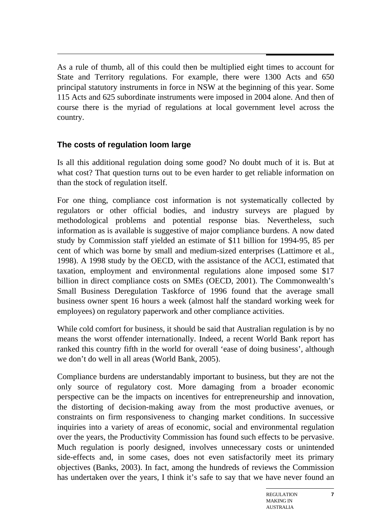As a rule of thumb, all of this could then be multiplied eight times to account for State and Territory regulations. For example, there were 1300 Acts and 650 principal statutory instruments in force in NSW at the beginning of this year. Some 115 Acts and 625 subordinate instruments were imposed in 2004 alone. And then of course there is the myriad of regulations at local government level across the country.

#### **The costs of regulation loom large**

Is all this additional regulation doing some good? No doubt much of it is. But at what cost? That question turns out to be even harder to get reliable information on than the stock of regulation itself.

For one thing, compliance cost information is not systematically collected by regulators or other official bodies, and industry surveys are plagued by methodological problems and potential response bias. Nevertheless, such information as is available is suggestive of major compliance burdens. A now dated study by Commission staff yielded an estimate of \$11 billion for 1994-95, 85 per cent of which was borne by small and medium-sized enterprises (Lattimore et al., 1998). A 1998 study by the OECD, with the assistance of the ACCI, estimated that taxation, employment and environmental regulations alone imposed some \$17 billion in direct compliance costs on SMEs (OECD, 2001). The Commonwealth's Small Business Deregulation Taskforce of 1996 found that the average small business owner spent 16 hours a week (almost half the standard working week for employees) on regulatory paperwork and other compliance activities.

While cold comfort for business, it should be said that Australian regulation is by no means the worst offender internationally. Indeed, a recent World Bank report has ranked this country fifth in the world for overall 'ease of doing business', although we don't do well in all areas (World Bank, 2005).

Compliance burdens are understandably important to business, but they are not the only source of regulatory cost. More damaging from a broader economic perspective can be the impacts on incentives for entrepreneurship and innovation, the distorting of decision-making away from the most productive avenues, or constraints on firm responsiveness to changing market conditions. In successive inquiries into a variety of areas of economic, social and environmental regulation over the years, the Productivity Commission has found such effects to be pervasive. Much regulation is poorly designed, involves unnecessary costs or unintended side-effects and, in some cases, does not even satisfactorily meet its primary objectives (Banks, 2003). In fact, among the hundreds of reviews the Commission has undertaken over the years, I think it's safe to say that we have never found an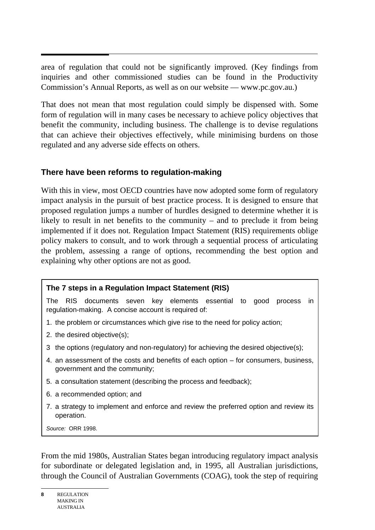area of regulation that could not be significantly improved. (Key findings from inquiries and other commissioned studies can be found in the Productivity Commission's Annual Reports, as well as on our website — www.pc.gov.au.)

That does not mean that most regulation could simply be dispensed with. Some form of regulation will in many cases be necessary to achieve policy objectives that benefit the community, including business. The challenge is to devise regulations that can achieve their objectives effectively, while minimising burdens on those regulated and any adverse side effects on others.

#### **There have been reforms to regulation-making**

With this in view, most OECD countries have now adopted some form of regulatory impact analysis in the pursuit of best practice process. It is designed to ensure that proposed regulation jumps a number of hurdles designed to determine whether it is likely to result in net benefits to the community – and to preclude it from being implemented if it does not. Regulation Impact Statement (RIS) requirements oblige policy makers to consult, and to work through a sequential process of articulating the problem, assessing a range of options, recommending the best option and explaining why other options are not as good.

#### **The 7 steps in a Regulation Impact Statement (RIS)**

The RIS documents seven key elements essential to good process in regulation-making. A concise account is required of:

- 1. the problem or circumstances which give rise to the need for policy action;
- 2. the desired objective(s);
- 3 the options (regulatory and non-regulatory) for achieving the desired objective(s);
- 4. an assessment of the costs and benefits of each option for consumers, business, government and the community;
- 5. a consultation statement (describing the process and feedback);
- 6. a recommended option; and
- 7. a strategy to implement and enforce and review the preferred option and review its operation.

*Source:* ORR 1998.

From the mid 1980s, Australian States began introducing regulatory impact analysis for subordinate or delegated legislation and, in 1995, all Australian jurisdictions, through the Council of Australian Governments (COAG), took the step of requiring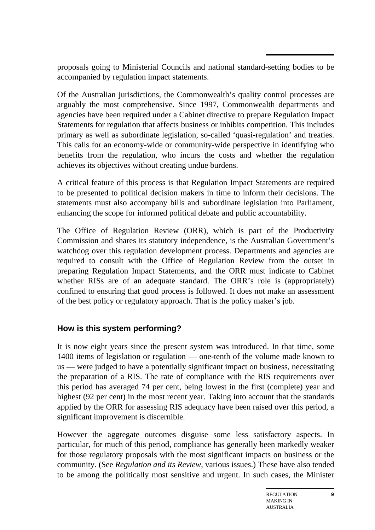proposals going to Ministerial Councils and national standard-setting bodies to be accompanied by regulation impact statements.

Of the Australian jurisdictions, the Commonwealth's quality control processes are arguably the most comprehensive. Since 1997, Commonwealth departments and agencies have been required under a Cabinet directive to prepare Regulation Impact Statements for regulation that affects business or inhibits competition. This includes primary as well as subordinate legislation, so-called 'quasi-regulation' and treaties. This calls for an economy-wide or community-wide perspective in identifying who benefits from the regulation, who incurs the costs and whether the regulation achieves its objectives without creating undue burdens.

A critical feature of this process is that Regulation Impact Statements are required to be presented to political decision makers in time to inform their decisions. The statements must also accompany bills and subordinate legislation into Parliament, enhancing the scope for informed political debate and public accountability.

The Office of Regulation Review (ORR), which is part of the Productivity Commission and shares its statutory independence, is the Australian Government's watchdog over this regulation development process. Departments and agencies are required to consult with the Office of Regulation Review from the outset in preparing Regulation Impact Statements, and the ORR must indicate to Cabinet whether RIS<sub>s</sub> are of an adequate standard. The ORR's role is (appropriately) confined to ensuring that good process is followed. It does not make an assessment of the best policy or regulatory approach. That is the policy maker's job.

#### **How is this system performing?**

It is now eight years since the present system was introduced. In that time, some 1400 items of legislation or regulation — one-tenth of the volume made known to us — were judged to have a potentially significant impact on business, necessitating the preparation of a RIS. The rate of compliance with the RIS requirements over this period has averaged 74 per cent, being lowest in the first (complete) year and highest (92 per cent) in the most recent year. Taking into account that the standards applied by the ORR for assessing RIS adequacy have been raised over this period, a significant improvement is discernible.

However the aggregate outcomes disguise some less satisfactory aspects. In particular, for much of this period, compliance has generally been markedly weaker for those regulatory proposals with the most significant impacts on business or the community. (See *Regulation and its Review*, various issues.) These have also tended to be among the politically most sensitive and urgent. In such cases, the Minister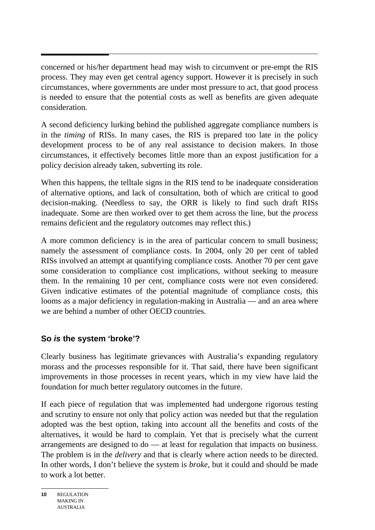concerned or his/her department head may wish to circumvent or pre-empt the RIS process. They may even get central agency support. However it is precisely in such circumstances, where governments are under most pressure to act, that good process is needed to ensure that the potential costs as well as benefits are given adequate consideration.

A second deficiency lurking behind the published aggregate compliance numbers is in the *timing* of RISs. In many cases, the RIS is prepared too late in the policy development process to be of any real assistance to decision makers. In those circumstances, it effectively becomes little more than an expost justification for a policy decision already taken, subverting its role.

When this happens, the telltale signs in the RIS tend to be inadequate consideration of alternative options, and lack of consultation, both of which are critical to good decision-making. (Needless to say, the ORR is likely to find such draft RISs inadequate. Some are then worked over to get them across the line, but the *process* remains deficient and the regulatory outcomes may reflect this.)

A more common deficiency is in the area of particular concern to small business; namely the assessment of compliance costs. In 2004, only 20 per cent of tabled RISs involved an attempt at quantifying compliance costs. Another 70 per cent gave some consideration to compliance cost implications, without seeking to measure them. In the remaining 10 per cent, compliance costs were not even considered. Given indicative estimates of the potential magnitude of compliance costs, this looms as a major deficiency in regulation-making in Australia — and an area where we are behind a number of other OECD countries.

#### **So** *is* **the system 'broke'?**

Clearly business has legitimate grievances with Australia's expanding regulatory morass and the processes responsible for it. That said, there have been significant improvements in those processes in recent years, which in my view have laid the foundation for much better regulatory outcomes in the future.

If each piece of regulation that was implemented had undergone rigorous testing and scrutiny to ensure not only that policy action was needed but that the regulation adopted was the best option, taking into account all the benefits and costs of the alternatives, it would be hard to complain. Yet that is precisely what the current arrangements are designed to do — at least for regulation that impacts on business. The problem is in the *delivery* and that is clearly where action needs to be directed. In other words, I don't believe the system is *broke*, but it could and should be made to work a lot better.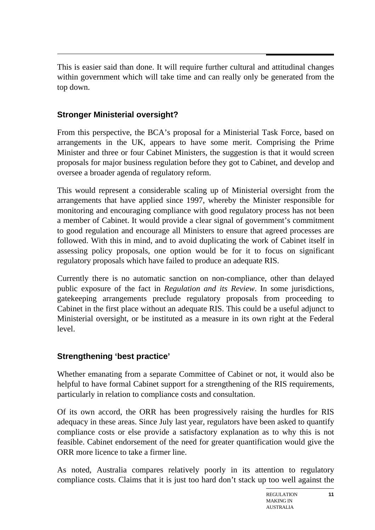$\overline{a}$ This is easier said than done. It will require further cultural and attitudinal changes within government which will take time and can really only be generated from the top down.

## **Stronger Ministerial oversight?**

From this perspective, the BCA's proposal for a Ministerial Task Force, based on arrangements in the UK, appears to have some merit. Comprising the Prime Minister and three or four Cabinet Ministers, the suggestion is that it would screen proposals for major business regulation before they got to Cabinet, and develop and oversee a broader agenda of regulatory reform.

This would represent a considerable scaling up of Ministerial oversight from the arrangements that have applied since 1997, whereby the Minister responsible for monitoring and encouraging compliance with good regulatory process has not been a member of Cabinet. It would provide a clear signal of government's commitment to good regulation and encourage all Ministers to ensure that agreed processes are followed. With this in mind, and to avoid duplicating the work of Cabinet itself in assessing policy proposals, one option would be for it to focus on significant regulatory proposals which have failed to produce an adequate RIS.

Currently there is no automatic sanction on non-compliance, other than delayed public exposure of the fact in *Regulation and its Review*. In some jurisdictions, gatekeeping arrangements preclude regulatory proposals from proceeding to Cabinet in the first place without an adequate RIS. This could be a useful adjunct to Ministerial oversight, or be instituted as a measure in its own right at the Federal level.

# **Strengthening 'best practice'**

Whether emanating from a separate Committee of Cabinet or not, it would also be helpful to have formal Cabinet support for a strengthening of the RIS requirements, particularly in relation to compliance costs and consultation.

Of its own accord, the ORR has been progressively raising the hurdles for RIS adequacy in these areas. Since July last year, regulators have been asked to quantify compliance costs or else provide a satisfactory explanation as to why this is not feasible. Cabinet endorsement of the need for greater quantification would give the ORR more licence to take a firmer line.

As noted, Australia compares relatively poorly in its attention to regulatory compliance costs. Claims that it is just too hard don't stack up too well against the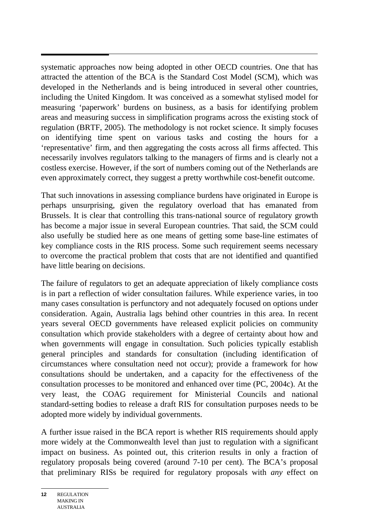systematic approaches now being adopted in other OECD countries. One that has attracted the attention of the BCA is the Standard Cost Model (SCM), which was developed in the Netherlands and is being introduced in several other countries, including the United Kingdom. It was conceived as a somewhat stylised model for measuring 'paperwork' burdens on business, as a basis for identifying problem areas and measuring success in simplification programs across the existing stock of regulation (BRTF, 2005). The methodology is not rocket science. It simply focuses on identifying time spent on various tasks and costing the hours for a 'representative' firm, and then aggregating the costs across all firms affected. This necessarily involves regulators talking to the managers of firms and is clearly not a costless exercise. However, if the sort of numbers coming out of the Netherlands are even approximately correct, they suggest a pretty worthwhile cost-benefit outcome.

That such innovations in assessing compliance burdens have originated in Europe is perhaps unsurprising, given the regulatory overload that has emanated from Brussels. It is clear that controlling this trans-national source of regulatory growth has become a major issue in several European countries. That said, the SCM could also usefully be studied here as one means of getting some base-line estimates of key compliance costs in the RIS process. Some such requirement seems necessary to overcome the practical problem that costs that are not identified and quantified have little bearing on decisions.

The failure of regulators to get an adequate appreciation of likely compliance costs is in part a reflection of wider consultation failures. While experience varies, in too many cases consultation is perfunctory and not adequately focused on options under consideration. Again, Australia lags behind other countries in this area. In recent years several OECD governments have released explicit policies on community consultation which provide stakeholders with a degree of certainty about how and when governments will engage in consultation. Such policies typically establish general principles and standards for consultation (including identification of circumstances where consultation need not occur); provide a framework for how consultations should be undertaken, and a capacity for the effectiveness of the consultation processes to be monitored and enhanced over time (PC, 2004c). At the very least, the COAG requirement for Ministerial Councils and national standard-setting bodies to release a draft RIS for consultation purposes needs to be adopted more widely by individual governments.

A further issue raised in the BCA report is whether RIS requirements should apply more widely at the Commonwealth level than just to regulation with a significant impact on business. As pointed out, this criterion results in only a fraction of regulatory proposals being covered (around 7-10 per cent). The BCA's proposal that preliminary RISs be required for regulatory proposals with *any* effect on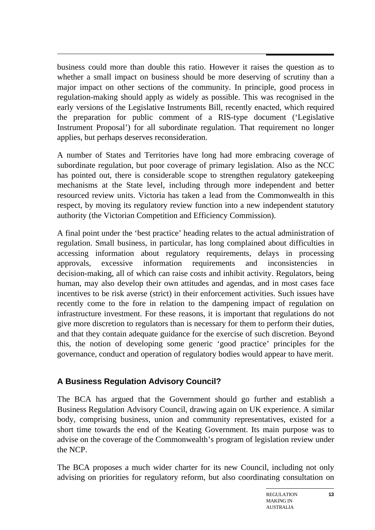$\overline{a}$ business could more than double this ratio. However it raises the question as to whether a small impact on business should be more deserving of scrutiny than a major impact on other sections of the community. In principle, good process in regulation-making should apply as widely as possible. This was recognised in the early versions of the Legislative Instruments Bill, recently enacted, which required the preparation for public comment of a RIS-type document ('Legislative Instrument Proposal') for all subordinate regulation. That requirement no longer applies, but perhaps deserves reconsideration.

A number of States and Territories have long had more embracing coverage of subordinate regulation, but poor coverage of primary legislation. Also as the NCC has pointed out, there is considerable scope to strengthen regulatory gatekeeping mechanisms at the State level, including through more independent and better resourced review units. Victoria has taken a lead from the Commonwealth in this respect, by moving its regulatory review function into a new independent statutory authority (the Victorian Competition and Efficiency Commission).

A final point under the 'best practice' heading relates to the actual administration of regulation. Small business, in particular, has long complained about difficulties in accessing information about regulatory requirements, delays in processing approvals, excessive information requirements and inconsistencies decision-making, all of which can raise costs and inhibit activity. Regulators, being human, may also develop their own attitudes and agendas, and in most cases face incentives to be risk averse (strict) in their enforcement activities. Such issues have recently come to the fore in relation to the dampening impact of regulation on infrastructure investment. For these reasons, it is important that regulations do not give more discretion to regulators than is necessary for them to perform their duties, and that they contain adequate guidance for the exercise of such discretion. Beyond this, the notion of developing some generic 'good practice' principles for the governance, conduct and operation of regulatory bodies would appear to have merit.

## **A Business Regulation Advisory Council?**

The BCA has argued that the Government should go further and establish a Business Regulation Advisory Council, drawing again on UK experience. A similar body, comprising business, union and community representatives, existed for a short time towards the end of the Keating Government. Its main purpose was to advise on the coverage of the Commonwealth's program of legislation review under the NCP.

The BCA proposes a much wider charter for its new Council, including not only advising on priorities for regulatory reform, but also coordinating consultation on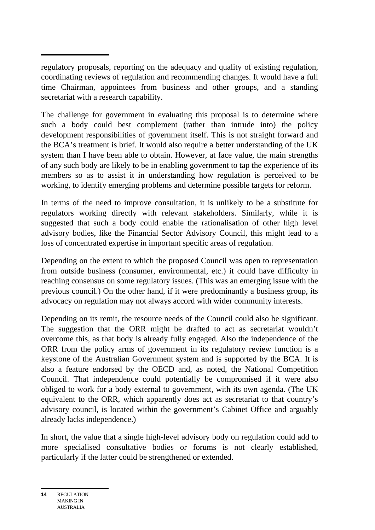regulatory proposals, reporting on the adequacy and quality of existing regulation, coordinating reviews of regulation and recommending changes. It would have a full time Chairman, appointees from business and other groups, and a standing secretariat with a research capability.

The challenge for government in evaluating this proposal is to determine where such a body could best complement (rather than intrude into) the policy development responsibilities of government itself. This is not straight forward and the BCA's treatment is brief. It would also require a better understanding of the UK system than I have been able to obtain. However, at face value, the main strengths of any such body are likely to be in enabling government to tap the experience of its members so as to assist it in understanding how regulation is perceived to be working, to identify emerging problems and determine possible targets for reform.

In terms of the need to improve consultation, it is unlikely to be a substitute for regulators working directly with relevant stakeholders. Similarly, while it is suggested that such a body could enable the rationalisation of other high level advisory bodies, like the Financial Sector Advisory Council, this might lead to a loss of concentrated expertise in important specific areas of regulation.

Depending on the extent to which the proposed Council was open to representation from outside business (consumer, environmental, etc.) it could have difficulty in reaching consensus on some regulatory issues. (This was an emerging issue with the previous council.) On the other hand, if it were predominantly a business group, its advocacy on regulation may not always accord with wider community interests.

Depending on its remit, the resource needs of the Council could also be significant. The suggestion that the ORR might be drafted to act as secretariat wouldn't overcome this, as that body is already fully engaged. Also the independence of the ORR from the policy arms of government in its regulatory review function is a keystone of the Australian Government system and is supported by the BCA. It is also a feature endorsed by the OECD and, as noted, the National Competition Council. That independence could potentially be compromised if it were also obliged to work for a body external to government, with its own agenda. (The UK equivalent to the ORR, which apparently does act as secretariat to that country's advisory council, is located within the government's Cabinet Office and arguably already lacks independence.)

In short, the value that a single high-level advisory body on regulation could add to more specialised consultative bodies or forums is not clearly established, particularly if the latter could be strengthened or extended.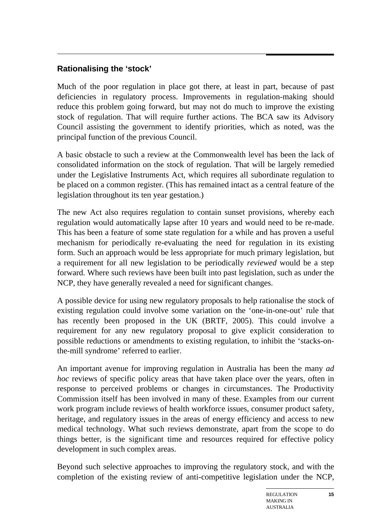## **Rationalising the 'stock'**

Much of the poor regulation in place got there, at least in part, because of past deficiencies in regulatory process. Improvements in regulation-making should reduce this problem going forward, but may not do much to improve the existing stock of regulation. That will require further actions. The BCA saw its Advisory Council assisting the government to identify priorities, which as noted, was the principal function of the previous Council.

A basic obstacle to such a review at the Commonwealth level has been the lack of consolidated information on the stock of regulation. That will be largely remedied under the Legislative Instruments Act, which requires all subordinate regulation to be placed on a common register. (This has remained intact as a central feature of the legislation throughout its ten year gestation.)

The new Act also requires regulation to contain sunset provisions, whereby each regulation would automatically lapse after 10 years and would need to be re-made. This has been a feature of some state regulation for a while and has proven a useful mechanism for periodically re-evaluating the need for regulation in its existing form. Such an approach would be less appropriate for much primary legislation, but a requirement for all new legislation to be periodically *reviewed* would be a step forward. Where such reviews have been built into past legislation, such as under the NCP, they have generally revealed a need for significant changes.

A possible device for using new regulatory proposals to help rationalise the stock of existing regulation could involve some variation on the 'one-in-one-out' rule that has recently been proposed in the UK (BRTF, 2005). This could involve a requirement for any new regulatory proposal to give explicit consideration to possible reductions or amendments to existing regulation, to inhibit the 'stacks-onthe-mill syndrome' referred to earlier.

An important avenue for improving regulation in Australia has been the many *ad hoc* reviews of specific policy areas that have taken place over the years, often in response to perceived problems or changes in circumstances. The Productivity Commission itself has been involved in many of these. Examples from our current work program include reviews of health workforce issues, consumer product safety, heritage, and regulatory issues in the areas of energy efficiency and access to new medical technology. What such reviews demonstrate, apart from the scope to do things better, is the significant time and resources required for effective policy development in such complex areas.

Beyond such selective approaches to improving the regulatory stock, and with the completion of the existing review of anti-competitive legislation under the NCP,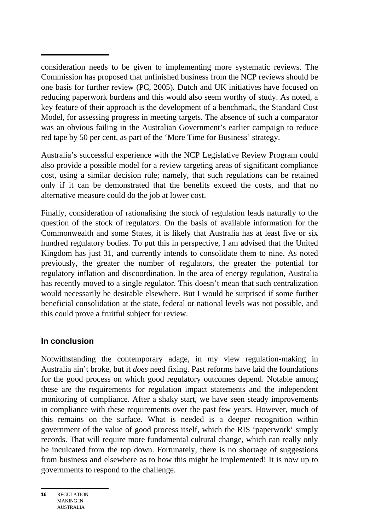consideration needs to be given to implementing more systematic reviews. The Commission has proposed that unfinished business from the NCP reviews should be one basis for further review (PC, 2005). Dutch and UK initiatives have focused on reducing paperwork burdens and this would also seem worthy of study. As noted, a key feature of their approach is the development of a benchmark, the Standard Cost Model, for assessing progress in meeting targets. The absence of such a comparator was an obvious failing in the Australian Government's earlier campaign to reduce red tape by 50 per cent, as part of the 'More Time for Business' strategy.

Australia's successful experience with the NCP Legislative Review Program could also provide a possible model for a review targeting areas of significant compliance cost, using a similar decision rule; namely, that such regulations can be retained only if it can be demonstrated that the benefits exceed the costs, and that no alternative measure could do the job at lower cost.

Finally, consideration of rationalising the stock of regulation leads naturally to the question of the stock of regulat*ors*. On the basis of available information for the Commonwealth and some States, it is likely that Australia has at least five or six hundred regulatory bodies. To put this in perspective, I am advised that the United Kingdom has just 31, and currently intends to consolidate them to nine. As noted previously, the greater the number of regulators, the greater the potential for regulatory inflation and discoordination. In the area of energy regulation, Australia has recently moved to a single regulator. This doesn't mean that such centralization would necessarily be desirable elsewhere. But I would be surprised if some further beneficial consolidation at the state, federal or national levels was not possible, and this could prove a fruitful subject for review.

#### **In conclusion**

Notwithstanding the contemporary adage, in my view regulation-making in Australia ain't broke, but it *does* need fixing. Past reforms have laid the foundations for the good process on which good regulatory outcomes depend. Notable among these are the requirements for regulation impact statements and the independent monitoring of compliance. After a shaky start, we have seen steady improvements in compliance with these requirements over the past few years. However, much of this remains on the surface. What is needed is a deeper recognition within government of the value of good process itself, which the RIS 'paperwork' simply records. That will require more fundamental cultural change, which can really only be inculcated from the top down. Fortunately, there is no shortage of suggestions from business and elsewhere as to how this might be implemented! It is now up to governments to respond to the challenge.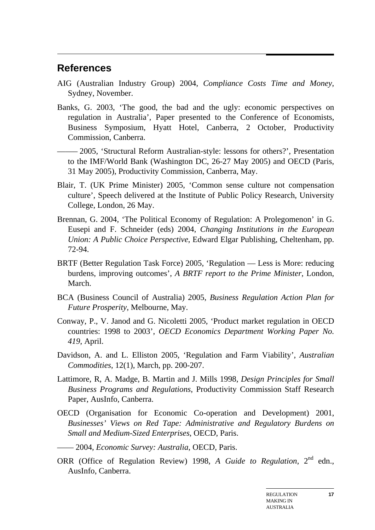#### $\overline{a}$ **References**

- AIG (Australian Industry Group) 2004, *Compliance Costs Time and Money*, Sydney, November.
- Banks, G. 2003, 'The good, the bad and the ugly: economic perspectives on regulation in Australia', Paper presented to the Conference of Economists, Business Symposium, Hyatt Hotel, Canberra, 2 October, Productivity Commission, Canberra.
- ––––– 2005, 'Structural Reform Australian-style: lessons for others?', Presentation to the IMF/World Bank (Washington DC, 26-27 May 2005) and OECD (Paris, 31 May 2005), Productivity Commission, Canberra, May.
- Blair, T. (UK Prime Minister) 2005, 'Common sense culture not compensation culture', Speech delivered at the Institute of Public Policy Research, University College, London, 26 May.
- Brennan, G. 2004, 'The Political Economy of Regulation: A Prolegomenon' in G. Eusepi and F. Schneider (eds) 2004, *Changing Institutions in the European Union: A Public Choice Perspective*, Edward Elgar Publishing, Cheltenham, pp. 72-94.
- BRTF (Better Regulation Task Force) 2005, 'Regulation Less is More: reducing burdens, improving outcomes', *A BRTF report to the Prime Minister*, London, March.
- BCA (Business Council of Australia) 2005, *Business Regulation Action Plan for Future Prosperity*, Melbourne, May.
- Conway, P., V. Janod and G. Nicoletti 2005, 'Product market regulation in OECD countries: 1998 to 2003', *OECD Economics Department Working Paper No. 419*, April.
- Davidson, A. and L. Elliston 2005, 'Regulation and Farm Viability', *Australian Commodities*, 12(1), March, pp. 200-207.
- Lattimore, R, A. Madge, B. Martin and J. Mills 1998, *Design Principles for Small Business Programs and Regulations*, Productivity Commission Staff Research Paper, AusInfo, Canberra.
- OECD (Organisation for Economic Co-operation and Development) 2001, *Businesses' Views on Red Tape: Administrative and Regulatory Burdens on Small and Medium-Sized Enterprises*, OECD, Paris.
- —— 2004, *Economic Survey: Australia*, OECD, Paris.
- ORR (Office of Regulation Review) 1998, *A Guide to Regulation*, 2<sup>nd</sup> edn., AusInfo, Canberra.